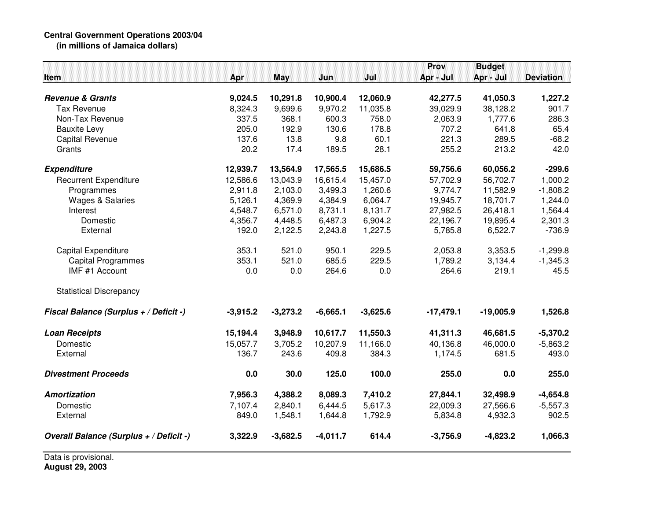## **Central Government Operations 2003/04 (in millions of Jamaica dollars)**

|                                         |            |            |            |            | Prov        | <b>Budget</b> |                  |
|-----------------------------------------|------------|------------|------------|------------|-------------|---------------|------------------|
| Item                                    | Apr        | <b>May</b> | Jun        | Jul        | Apr - Jul   | Apr - Jul     | <b>Deviation</b> |
| <b>Revenue &amp; Grants</b>             | 9,024.5    | 10,291.8   | 10,900.4   | 12,060.9   | 42,277.5    | 41,050.3      | 1,227.2          |
| <b>Tax Revenue</b>                      | 8,324.3    | 9,699.6    | 9,970.2    | 11,035.8   | 39,029.9    | 38,128.2      | 901.7            |
| Non-Tax Revenue                         | 337.5      | 368.1      | 600.3      | 758.0      | 2,063.9     | 1,777.6       | 286.3            |
| <b>Bauxite Levy</b>                     | 205.0      | 192.9      | 130.6      | 178.8      | 707.2       | 641.8         | 65.4             |
| <b>Capital Revenue</b>                  | 137.6      | 13.8       | 9.8        | 60.1       | 221.3       | 289.5         | $-68.2$          |
| Grants                                  | 20.2       | 17.4       | 189.5      | 28.1       | 255.2       | 213.2         | 42.0             |
| <b>Expenditure</b>                      | 12,939.7   | 13,564.9   | 17,565.5   | 15,686.5   | 59,756.6    | 60,056.2      | $-299.6$         |
| <b>Recurrent Expenditure</b>            | 12,586.6   | 13,043.9   | 16,615.4   | 15,457.0   | 57,702.9    | 56,702.7      | 1,000.2          |
| Programmes                              | 2,911.8    | 2,103.0    | 3,499.3    | 1,260.6    | 9,774.7     | 11,582.9      | $-1,808.2$       |
| <b>Wages &amp; Salaries</b>             | 5,126.1    | 4,369.9    | 4,384.9    | 6,064.7    | 19,945.7    | 18,701.7      | 1,244.0          |
| Interest                                | 4,548.7    | 6,571.0    | 8,731.1    | 8,131.7    | 27,982.5    | 26,418.1      | 1,564.4          |
| Domestic                                | 4,356.7    | 4,448.5    | 6,487.3    | 6,904.2    | 22,196.7    | 19,895.4      | 2,301.3          |
| External                                | 192.0      | 2,122.5    | 2,243.8    | 1,227.5    | 5,785.8     | 6,522.7       | $-736.9$         |
| Capital Expenditure                     | 353.1      | 521.0      | 950.1      | 229.5      | 2,053.8     | 3,353.5       | $-1,299.8$       |
| <b>Capital Programmes</b>               | 353.1      | 521.0      | 685.5      | 229.5      | 1,789.2     | 3,134.4       | $-1,345.3$       |
| IMF #1 Account                          | 0.0        | 0.0        | 264.6      | 0.0        | 264.6       | 219.1         | 45.5             |
| <b>Statistical Discrepancy</b>          |            |            |            |            |             |               |                  |
| Fiscal Balance (Surplus + / Deficit -)  | $-3,915.2$ | $-3,273.2$ | $-6,665.1$ | $-3,625.6$ | $-17,479.1$ | $-19,005.9$   | 1,526.8          |
| <b>Loan Receipts</b>                    | 15,194.4   | 3,948.9    | 10,617.7   | 11,550.3   | 41,311.3    | 46,681.5      | $-5,370.2$       |
| Domestic                                | 15,057.7   | 3,705.2    | 10,207.9   | 11,166.0   | 40,136.8    | 46,000.0      | $-5,863.2$       |
| External                                | 136.7      | 243.6      | 409.8      | 384.3      | 1,174.5     | 681.5         | 493.0            |
| <b>Divestment Proceeds</b>              | 0.0        | 30.0       | 125.0      | 100.0      | 255.0       | 0.0           | 255.0            |
| <b>Amortization</b>                     | 7,956.3    | 4,388.2    | 8,089.3    | 7,410.2    | 27,844.1    | 32,498.9      | $-4,654.8$       |
| Domestic                                | 7,107.4    | 2,840.1    | 6,444.5    | 5,617.3    | 22,009.3    | 27,566.6      | $-5,557.3$       |
| External                                | 849.0      | 1,548.1    | 1,644.8    | 1,792.9    | 5,834.8     | 4,932.3       | 902.5            |
| Overall Balance (Surplus + / Deficit -) | 3,322.9    | $-3,682.5$ | $-4,011.7$ | 614.4      | $-3,756.9$  | $-4,823.2$    | 1,066.3          |

Data is provisional. **August 29, 2003**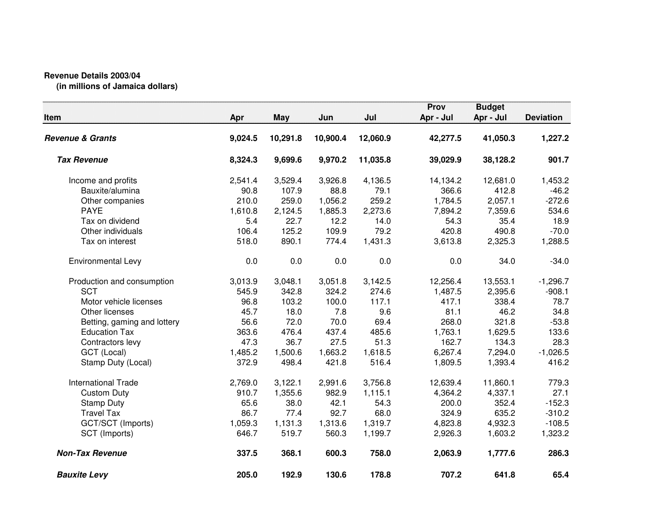## **Revenue Details 2003/04**

**(in millions of Jamaica dollars)**

| Item                        | <b>Apr</b> | <b>May</b> | Jun      | Jul      | Prov<br>Apr - Jul | <b>Budget</b><br>Apr - Jul | <b>Deviation</b> |
|-----------------------------|------------|------------|----------|----------|-------------------|----------------------------|------------------|
| <b>Revenue &amp; Grants</b> | 9,024.5    | 10,291.8   | 10,900.4 | 12,060.9 | 42,277.5          | 41,050.3                   | 1,227.2          |
| <b>Tax Revenue</b>          | 8,324.3    | 9,699.6    | 9,970.2  | 11,035.8 | 39,029.9          | 38,128.2                   | 901.7            |
| Income and profits          | 2,541.4    | 3,529.4    | 3,926.8  | 4,136.5  | 14,134.2          | 12,681.0                   | 1,453.2          |
| Bauxite/alumina             | 90.8       | 107.9      | 88.8     | 79.1     | 366.6             | 412.8                      | $-46.2$          |
| Other companies             | 210.0      | 259.0      | 1,056.2  | 259.2    | 1,784.5           | 2,057.1                    | $-272.6$         |
| <b>PAYE</b>                 | 1,610.8    | 2,124.5    | 1,885.3  | 2,273.6  | 7,894.2           | 7,359.6                    | 534.6            |
| Tax on dividend             | 5.4        | 22.7       | 12.2     | 14.0     | 54.3              | 35.4                       | 18.9             |
| Other individuals           | 106.4      | 125.2      | 109.9    | 79.2     | 420.8             | 490.8                      | $-70.0$          |
| Tax on interest             | 518.0      | 890.1      | 774.4    | 1,431.3  | 3,613.8           | 2,325.3                    | 1,288.5          |
| Environmental Levy          | 0.0        | 0.0        | 0.0      | 0.0      | 0.0               | 34.0                       | $-34.0$          |
| Production and consumption  | 3,013.9    | 3,048.1    | 3,051.8  | 3,142.5  | 12,256.4          | 13,553.1                   | $-1,296.7$       |
| <b>SCT</b>                  | 545.9      | 342.8      | 324.2    | 274.6    | 1,487.5           | 2,395.6                    | $-908.1$         |
| Motor vehicle licenses      | 96.8       | 103.2      | 100.0    | 117.1    | 417.1             | 338.4                      | 78.7             |
| Other licenses              | 45.7       | 18.0       | 7.8      | 9.6      | 81.1              | 46.2                       | 34.8             |
| Betting, gaming and lottery | 56.6       | 72.0       | 70.0     | 69.4     | 268.0             | 321.8                      | $-53.8$          |
| <b>Education Tax</b>        | 363.6      | 476.4      | 437.4    | 485.6    | 1,763.1           | 1,629.5                    | 133.6            |
| Contractors levy            | 47.3       | 36.7       | 27.5     | 51.3     | 162.7             | 134.3                      | 28.3             |
| GCT (Local)                 | 1,485.2    | 1,500.6    | 1,663.2  | 1,618.5  | 6,267.4           | 7,294.0                    | $-1,026.5$       |
| Stamp Duty (Local)          | 372.9      | 498.4      | 421.8    | 516.4    | 1,809.5           | 1,393.4                    | 416.2            |
| <b>International Trade</b>  | 2,769.0    | 3,122.1    | 2,991.6  | 3,756.8  | 12,639.4          | 11,860.1                   | 779.3            |
| <b>Custom Duty</b>          | 910.7      | 1,355.6    | 982.9    | 1,115.1  | 4,364.2           | 4,337.1                    | 27.1             |
| <b>Stamp Duty</b>           | 65.6       | 38.0       | 42.1     | 54.3     | 200.0             | 352.4                      | $-152.3$         |
| <b>Travel Tax</b>           | 86.7       | 77.4       | 92.7     | 68.0     | 324.9             | 635.2                      | $-310.2$         |
| GCT/SCT (Imports)           | 1,059.3    | 1,131.3    | 1,313.6  | 1,319.7  | 4,823.8           | 4,932.3                    | $-108.5$         |
| SCT (Imports)               | 646.7      | 519.7      | 560.3    | 1,199.7  | 2,926.3           | 1,603.2                    | 1,323.2          |
| <b>Non-Tax Revenue</b>      | 337.5      | 368.1      | 600.3    | 758.0    | 2,063.9           | 1,777.6                    | 286.3            |
| <b>Bauxite Levy</b>         | 205.0      | 192.9      | 130.6    | 178.8    | 707.2             | 641.8                      | 65.4             |